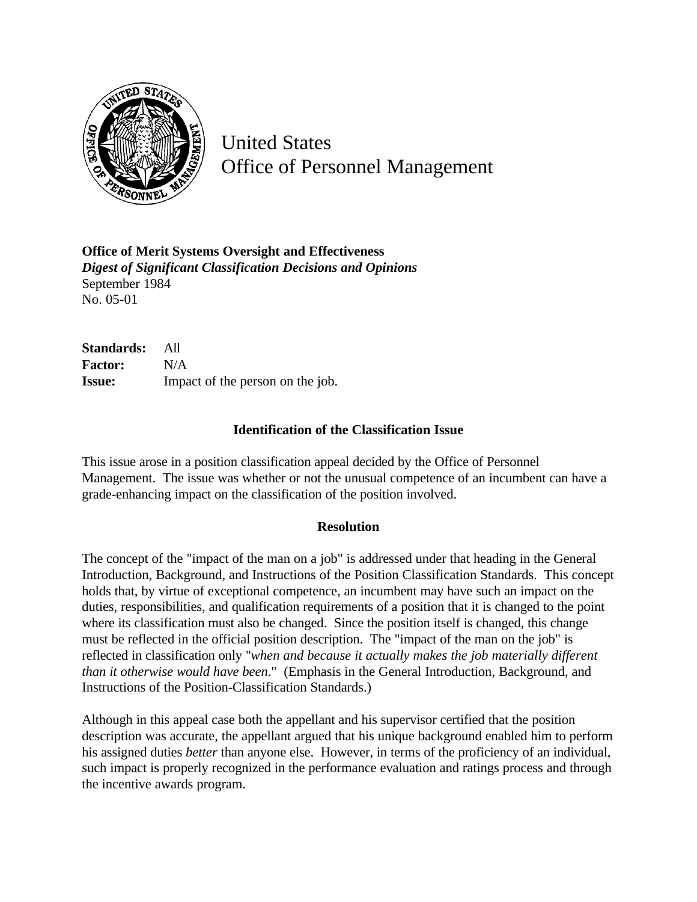

United States Office of Personnel Management

**Office of Merit Systems Oversight and Effectiveness** *Digest of Significant Classification Decisions and Opinions* September 1984 No. 05-01

**Standards:** All **Factor:** N/A **Issue:** Impact of the person on the job.

## **Identification of the Classification Issue**

This issue arose in a position classification appeal decided by the Office of Personnel Management. The issue was whether or not the unusual competence of an incumbent can have a grade-enhancing impact on the classification of the position involved.

## **Resolution**

The concept of the "impact of the man on a job" is addressed under that heading in the General Introduction, Background, and Instructions of the Position Classification Standards. This concept holds that, by virtue of exceptional competence, an incumbent may have such an impact on the duties, responsibilities, and qualification requirements of a position that it is changed to the point where its classification must also be changed. Since the position itself is changed, this change must be reflected in the official position description. The "impact of the man on the job" is reflected in classification only "*when and because it actually makes the job materially different than it otherwise would have been*." (Emphasis in the General Introduction, Background, and Instructions of the Position-Classification Standards.)

Although in this appeal case both the appellant and his supervisor certified that the position description was accurate, the appellant argued that his unique background enabled him to perform his assigned duties *better* than anyone else. However, in terms of the proficiency of an individual, such impact is properly recognized in the performance evaluation and ratings process and through the incentive awards program.